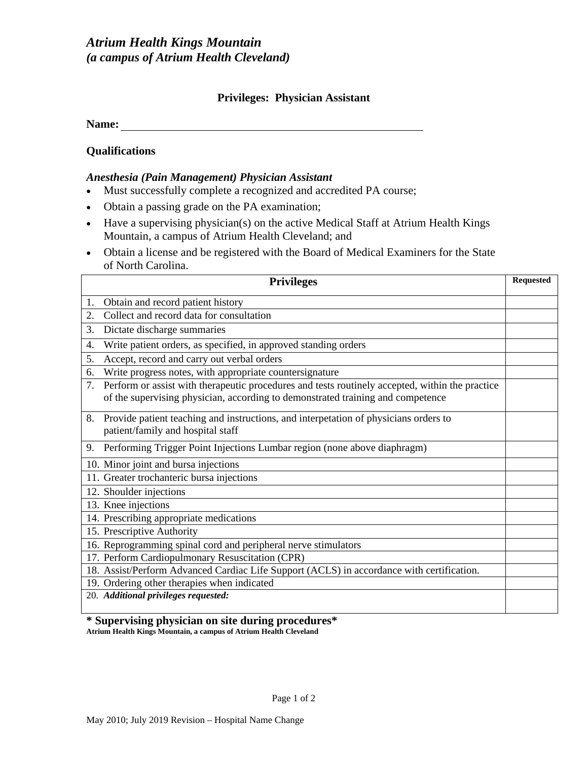## **Privileges: Physician Assistant**

**Name:** 

**Qualifications**

#### *Anesthesia (Pain Management) Physician Assistant*

- Must successfully complete a recognized and accredited PA course;
- Obtain a passing grade on the PA examination;
- Have a supervising physician(s) on the active Medical Staff at Atrium Health Kings Mountain, a campus of Atrium Health Cleveland; and
- Obtain a license and be registered with the Board of Medical Examiners for the State of North Carolina.

|    | <b>Privileges</b>                                                                                                                                                                  | <b>Requested</b> |
|----|------------------------------------------------------------------------------------------------------------------------------------------------------------------------------------|------------------|
| 1. | Obtain and record patient history                                                                                                                                                  |                  |
| 2. | Collect and record data for consultation                                                                                                                                           |                  |
| 3. | Dictate discharge summaries                                                                                                                                                        |                  |
| 4. | Write patient orders, as specified, in approved standing orders                                                                                                                    |                  |
| 5. | Accept, record and carry out verbal orders                                                                                                                                         |                  |
| 6. | Write progress notes, with appropriate countersignature                                                                                                                            |                  |
| 7. | Perform or assist with therapeutic procedures and tests routinely accepted, within the practice<br>of the supervising physician, according to demonstrated training and competence |                  |
| 8. | Provide patient teaching and instructions, and interpetation of physicians orders to<br>patient/family and hospital staff                                                          |                  |
| 9. | Performing Trigger Point Injections Lumbar region (none above diaphragm)                                                                                                           |                  |
|    | 10. Minor joint and bursa injections                                                                                                                                               |                  |
|    | 11. Greater trochanteric bursa injections                                                                                                                                          |                  |
|    | 12. Shoulder injections                                                                                                                                                            |                  |
|    | 13. Knee injections                                                                                                                                                                |                  |
|    | 14. Prescribing appropriate medications                                                                                                                                            |                  |
|    | 15. Prescriptive Authority                                                                                                                                                         |                  |
|    | 16. Reprogramming spinal cord and peripheral nerve stimulators                                                                                                                     |                  |
|    | 17. Perform Cardiopulmonary Resuscitation (CPR)                                                                                                                                    |                  |
|    | 18. Assist/Perform Advanced Cardiac Life Support (ACLS) in accordance with certification.                                                                                          |                  |
|    | 19. Ordering other therapies when indicated                                                                                                                                        |                  |
|    | 20. Additional privileges requested:                                                                                                                                               |                  |

**<sup>\*</sup> Supervising physician on site during procedures\* Atrium Health Kings Mountain, a campus of Atrium Health Cleveland**